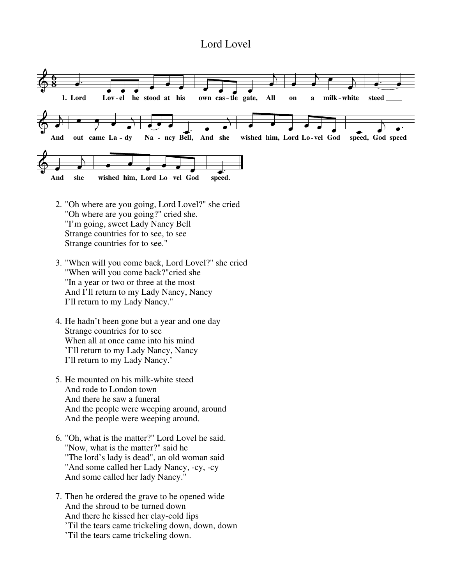## Lord Lovel



- 2. "Oh where are you going, Lord Lovel?" she cried "Oh where are you going?" cried she. "I'm going, sweet Lady Nancy Bell Strange countries for to see, to see Strange countries for to see."
- 3. "When will you come back, Lord Lovel?" she cried "When will you come back?"cried she "In a year or two or three at the most And I'll return to my Lady Nancy, Nancy I'll return to my Lady Nancy."
- 4. He hadn't been gone but a year and one day Strange countries for to see When all at once came into his mind 'I'll return to my Lady Nancy, Nancy I'll return to my Lady Nancy.'
- 5. He mounted on his milk-white steed And rode to London town And there he saw a funeral And the people were weeping around, around And the people were weeping around.
- 6. "Oh, what is the matter?" Lord Lovel he said. "Now, what is the matter?" said he "The lord's lady is dead", an old woman said "And some called her Lady Nancy, -cy, -cy And some called her lady Nancy."
- 7. Then he ordered the grave to be opened wide And the shroud to be turned down And there he kissed her clay-cold lips 'Til the tears came trickeling down, down, down 'Til the tears came trickeling down.